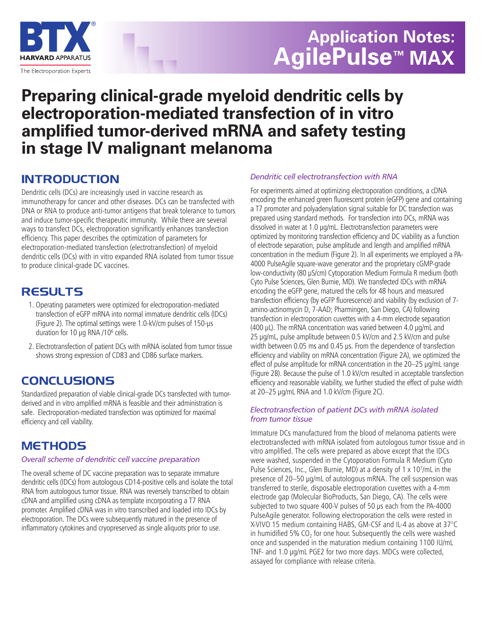

# **Application Notes: AgilePulse™ MAX**

## **Preparing clinical-grade myeloid dendritic cells by electroporation-mediated transfection of in vitro amplified tumor-derived mRNA and safety testing in stage IV malignant melanoma**

## **INTRODUCTION**

Dendritic cells (DCs) are increasingly used in vaccine research as immunotherapy for cancer and other diseases. DCs can be transfected with DNA or RNA to produce anti-tumor antigens that break tolerance to tumors and induce tumor-specific therapeutic immunity. While there are several ways to transfect DCs, electroporation significantly enhances transfection efficiency. This paper describes the optimization of parameters for electroporation-mediated transfection (electrotransfection) of myeloid dendritic cells (DCs) with in vitro expanded RNA isolated from tumor tissue to produce clinical-grade DC vaccines.

## **RESULTS**

- 1. Operating parameters were optimized for electroporation-mediated transfection of eGFP mRNA into normal immature dendritic cells (IDCs) (Figure 2). The optimal settings were 1.0-kV/cm pulses of 150-**µ**s duration for 10 **µ**g RNA /106 cells.
- 2. Electrotransfection of patient DCs with mRNA isolated from tumor tissue shows strong expression of CD83 and CD86 surface markers.

## **CONCLUSIONS**

Standardized preparation of viable clinical-grade DCs transfected with tumorderived and in vitro amplified mRNA is feasible and their administration is safe. Electroporation-mediated transfection was optimized for maximal efficiency and cell viability.

## **METHODS**

#### *Overall scheme of dendritic cell vaccine preparation*

The overall scheme of DC vaccine preparation was to separate immature dendritic cells (IDCs) from autologous CD14-positive cells and isolate the total RNA from autologous tumor tissue. RNA was reversely transcribed to obtain cDNA and amplified using cDNA as template incorporating a T7 RNA promoter. Amplified cDNA was in vitro transcribed and loaded into IDCs by electroporation. The DCs were subsequently matured in the presence of inflammatory cytokines and cryopreserved as single aliquots prior to use.

#### *Dendritic cell electrotransfection with RNA*

For experiments aimed at optimizing electroporation conditions, a cDNA encoding the enhanced green fluorescent protein (eGFP) gene and containing a T7 promoter and polyadenylation signal suitable for DC transfection was prepared using standard methods. For transfection into DCs, mRNA was dissolved in water at 1.0 **µ**g/mL. Electrotransfection parameters were optimized by monitoring transfection efficiency and DC viability as a function of electrode separation, pulse amplitude and length and amplified mRNA concentration in the medium (Figure 2). In all experiments we employed a PA-4000 PulseAgile square-wave generator and the proprietary cGMP-grade low-conductivity (80 **µ**S/cm) Cytoporation Medium Formula R medium (both Cyto Pulse Sciences, Glen Burnie, MD). We transfected IDCs with mRNA encoding the eGFP gene, matured the cells for 48 hours and measured transfection efficiency (by eGFP fluorescence) and viability (by exclusion of 7 amino-actinomycin D, 7-AAD; Pharmingen, San Diego, CA) following transfection in electroporation cuvettes with a 4-mm electrode separation (400 **µ**L). The mRNA concentration was varied between 4.0 **µ**g/mL and 25 **µ**g/mL, pulse amplitude between 0.5 kV/cm and 2.5 kV/cm and pulse width between 0.05 ms and 0.45 **µ**s. From the dependence of transfection efficiency and viability on mRNA concentration (Figure 2A), we optimized the effect of pulse amplitude for mRNA concentration in the 20–25 **µ**g/mL range (Figure 2B). Because the pulse of 1.0 kV/cm resulted in acceptable transfection efficiency and reasonable viability, we further studied the effect of pulse width at 20–25 **µ**g/mL RNA and 1.0 kV/cm (Figure 2C).

#### *Electrotransfection of patient DCs with mRNA isolated from tumor tissue*

Immature DCs manufactured from the blood of melanoma patients were electrotransfected with mRNA isolated from autologous tumor tissue and in vitro amplified. The cells were prepared as above except that the IDCs were washed, suspended in the Cytoporation Formula R Medium (Cyto Pulse Sciences, Inc., Glen Burnie, MD) at a density of 1 x 107/mL in the presence of 20–50 **µ**g/mL of autologous mRNA. The cell suspension was transferred to sterile, disposable electroporation cuvettes with a 4-mm electrode gap (Molecular BioProducts, San Diego, CA). The cells were subjected to two square 400-V pulses of 50 **µ**s each from the PA-4000 PulseAgile generator. Following electroporation the cells were rested in X-VIVO 15 medium containing HABS, GM-CSF and IL-4 as above at 37°C in humidified 5%  $CO<sub>2</sub>$  for one hour. Subsequently the cells were washed once and suspended in the maturation medium containing 1100 IU/mL TNF- and 1.0 **µ**g/mL PGE2 for two more days. MDCs were collected, assayed for compliance with release criteria.